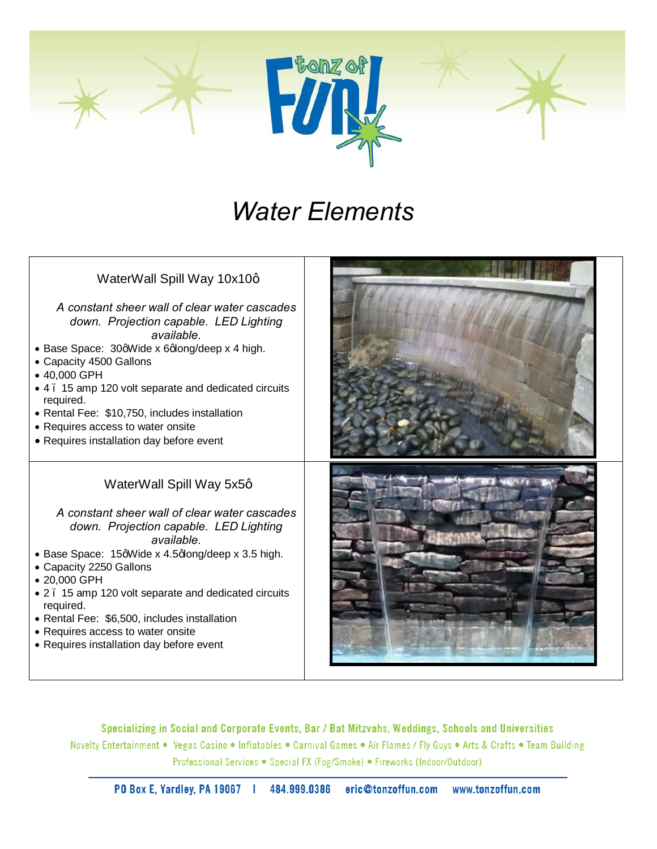

# *Water Elements*

| WaterWall Spill Way 10x10q<br>A constant sheer wall of clear water cascades<br>down. Projection capable. LED Lighting<br>available<br>• Base Space: 30qWide x 6qlong/deep x 4 high.<br>• Capacity 4500 Gallons<br>• 40,000 GPH<br>• 4. 15 amp 120 volt separate and dedicated circuits<br>required.<br>• Rental Fee: \$10,750, includes installation<br>• Requires access to water onsite<br>• Requires installation day before event   |  |
|-----------------------------------------------------------------------------------------------------------------------------------------------------------------------------------------------------------------------------------------------------------------------------------------------------------------------------------------------------------------------------------------------------------------------------------------|--|
| WaterWall Spill Way 5x5q<br>A constant sheer wall of clear water cascades<br>down. Projection capable. LED Lighting<br>available.<br>• Base Space: 15qWide x 4.5qlong/deep x 3.5 high.<br>• Capacity 2250 Gallons<br>• 20,000 GPH<br>• 2. 15 amp 120 volt separate and dedicated circuits<br>required.<br>• Rental Fee: \$6,500, includes installation<br>• Requires access to water onsite<br>• Requires installation day before event |  |

Specializing in Social and Corporate Events, Bar / Bat Mitzvahs, Weddings, Schools and Universities Novelty Entertainment . Vegas Casino . Inflatables . Carnival Games . Air Flames / Fly Guys . Arts & Crafts . Team Building Professional Services • Special FX (Fog/Smoke) • Fireworks (Indoor/Outdoor)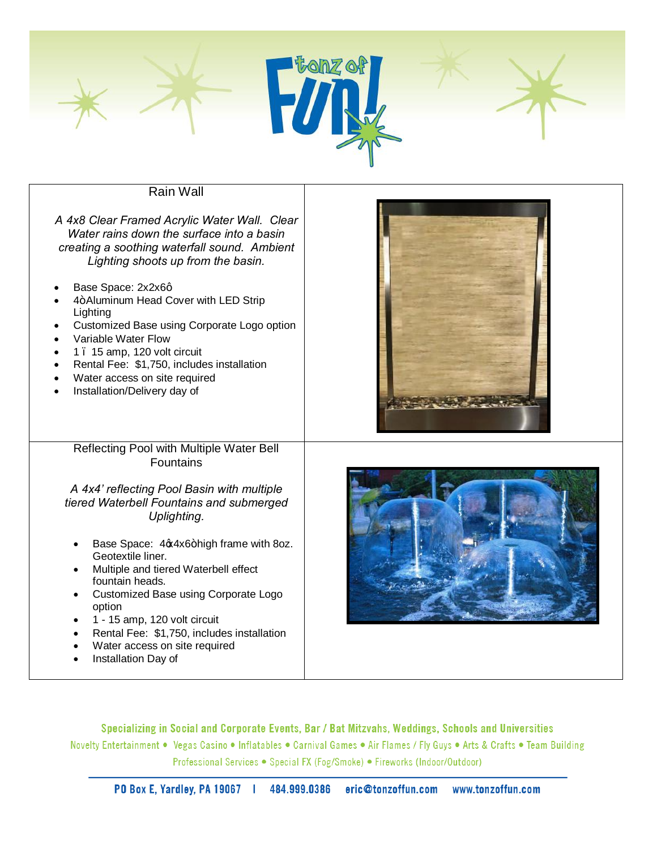

# Rain Wall

| A 4x8 Clear Framed Acrylic Water Wall. Clear<br>Water rains down the surface into a basin<br>creating a soothing waterfall sound. Ambient<br>Lighting shoots up from the basin.<br>Base Space: 2x2x6q<br>4+Aluminum Head Cover with LED Strip<br>Lighting<br>Customized Base using Corporate Logo option<br>Variable Water Flow<br>1. 15 amp, 120 volt circuit<br>Rental Fee: \$1,750, includes installation<br>Water access on site required<br>Installation/Delivery day of           |  |
|-----------------------------------------------------------------------------------------------------------------------------------------------------------------------------------------------------------------------------------------------------------------------------------------------------------------------------------------------------------------------------------------------------------------------------------------------------------------------------------------|--|
| Reflecting Pool with Multiple Water Bell<br><b>Fountains</b><br>A 4x4' reflecting Pool Basin with multiple<br>tiered Waterbell Fountains and submerged<br>Uplighting.<br>Base Space: 4x4x6+high frame with 8oz.<br>Geotextile liner.<br>Multiple and tiered Waterbell effect<br>fountain heads.<br>Customized Base using Corporate Logo<br>option<br>1 - 15 amp, 120 volt circuit<br>Rental Fee: \$1,750, includes installation<br>Water access on site required<br>Installation Day of |  |

Specializing in Social and Corporate Events, Bar / Bat Mitzvahs, Weddings, Schools and Universities Novelty Entertainment . Vegas Casino . Inflatables . Carnival Games . Air Flames / Fly Guys . Arts & Crafts . Team Building Professional Services • Special FX (Fog/Smoke) • Fireworks (Indoor/Outdoor)